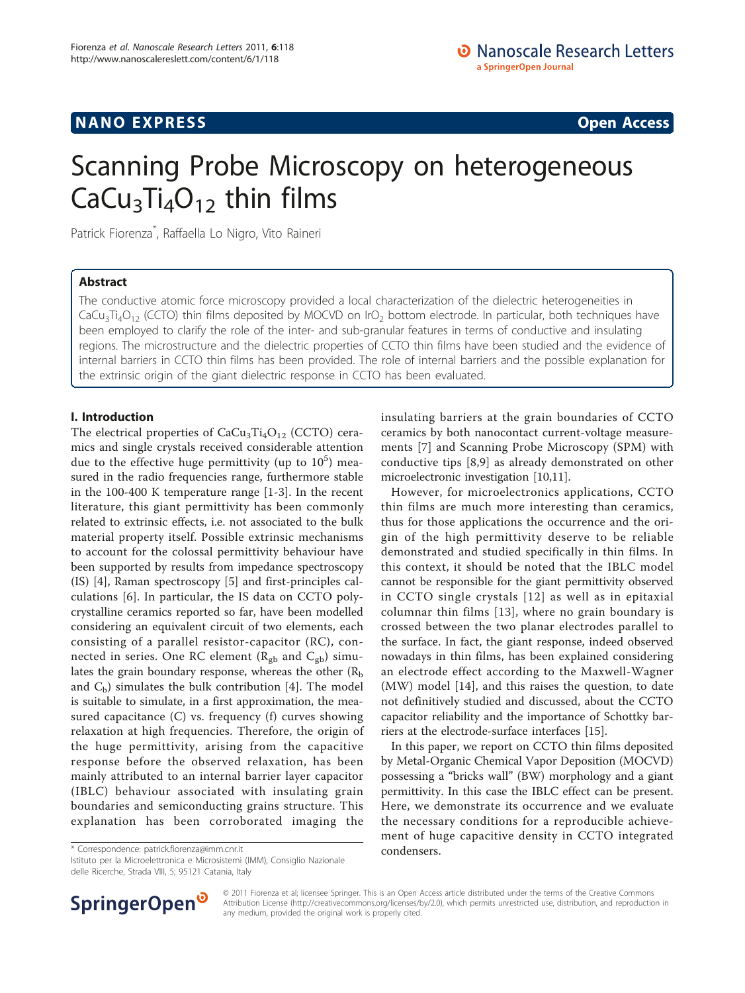## **NANO EXPRESS** Open Access and the set of the set of the set of the set of the set of the set of the set of the set of the set of the set of the set of the set of the set of the set of the set of the set of the set of the

# Scanning Probe Microscopy on heterogeneous CaCu<sub>3</sub>Ti<sub>4</sub>O<sub>12</sub> thin films

Patrick Fiorenza\* , Raffaella Lo Nigro, Vito Raineri

## Abstract

The conductive atomic force microscopy provided a local characterization of the dielectric heterogeneities in CaCu<sub>3</sub>Ti<sub>4</sub>O<sub>12</sub> (CCTO) thin films deposited by MOCVD on IrO<sub>2</sub> bottom electrode. In particular, both techniques have been employed to clarify the role of the inter- and sub-granular features in terms of conductive and insulating regions. The microstructure and the dielectric properties of CCTO thin films have been studied and the evidence of internal barriers in CCTO thin films has been provided. The role of internal barriers and the possible explanation for the extrinsic origin of the giant dielectric response in CCTO has been evaluated.

## I. Introduction

The electrical properties of  $CaCu<sub>3</sub>Ti<sub>4</sub>O<sub>12</sub>$  (CCTO) ceramics and single crystals received considerable attention due to the effective huge permittivity (up to  $10^5$ ) measured in the radio frequencies range, furthermore stable in the 100-400 K temperature range [\[1](#page-3-0)-[3\]](#page-3-0). In the recent literature, this giant permittivity has been commonly related to extrinsic effects, i.e. not associated to the bulk material property itself. Possible extrinsic mechanisms to account for the colossal permittivity behaviour have been supported by results from impedance spectroscopy (IS) [[4\]](#page-3-0), Raman spectroscopy [[5\]](#page-3-0) and first-principles calculations [\[6](#page-3-0)]. In particular, the IS data on CCTO polycrystalline ceramics reported so far, have been modelled considering an equivalent circuit of two elements, each consisting of a parallel resistor-capacitor (RC), connected in series. One RC element ( $R_{gb}$  and  $C_{gb}$ ) simulates the grain boundary response, whereas the other  $(R_b)$ and  $C_b$ ) simulates the bulk contribution [\[4](#page-3-0)]. The model is suitable to simulate, in a first approximation, the measured capacitance  $(C)$  vs. frequency  $(f)$  curves showing relaxation at high frequencies. Therefore, the origin of the huge permittivity, arising from the capacitive response before the observed relaxation, has been mainly attributed to an internal barrier layer capacitor (IBLC) behaviour associated with insulating grain boundaries and semiconducting grains structure. This explanation has been corroborated imaging the

condensers. \* Correspondence: [patrick.fiorenza@imm.cnr.it](mailto:patrick.fiorenza@imm.cnr.it)

Istituto per la Microelettronica e Microsistemi (IMM), Consiglio Nazionale delle Ricerche, Strada VIII, 5; 95121 Catania, Italy

insulating barriers at the grain boundaries of CCTO ceramics by both nanocontact current-voltage measurements [[7](#page-3-0)] and Scanning Probe Microscopy (SPM) with conductive tips [[8](#page-3-0),[9\]](#page-3-0) as already demonstrated on other microelectronic investigation [[10,11](#page-3-0)].

However, for microelectronics applications, CCTO thin films are much more interesting than ceramics, thus for those applications the occurrence and the origin of the high permittivity deserve to be reliable demonstrated and studied specifically in thin films. In this context, it should be noted that the IBLC model cannot be responsible for the giant permittivity observed in CCTO single crystals [[12\]](#page-3-0) as well as in epitaxial columnar thin films [[13\]](#page-3-0), where no grain boundary is crossed between the two planar electrodes parallel to the surface. In fact, the giant response, indeed observed nowadays in thin films, has been explained considering an electrode effect according to the Maxwell-Wagner (MW) model [[14\]](#page-3-0), and this raises the question, to date not definitively studied and discussed, about the CCTO capacitor reliability and the importance of Schottky barriers at the electrode-surface interfaces [[15](#page-3-0)].

In this paper, we report on CCTO thin films deposited by Metal-Organic Chemical Vapor Deposition (MOCVD) possessing a "bricks wall" (BW) morphology and a giant permittivity. In this case the IBLC effect can be present. Here, we demonstrate its occurrence and we evaluate the necessary conditions for a reproducible achievement of huge capacitive density in CCTO integrated



© 2011 Fiorenza et al; licensee Springer. This is an Open Access article distributed under the terms of the Creative Commons Attribution License [\(http://creativecommons.org/licenses/by/2.0](http://creativecommons.org/licenses/by/2.0)), which permits unrestricted use, distribution, and reproduction in any medium, provided the original work is properly cited.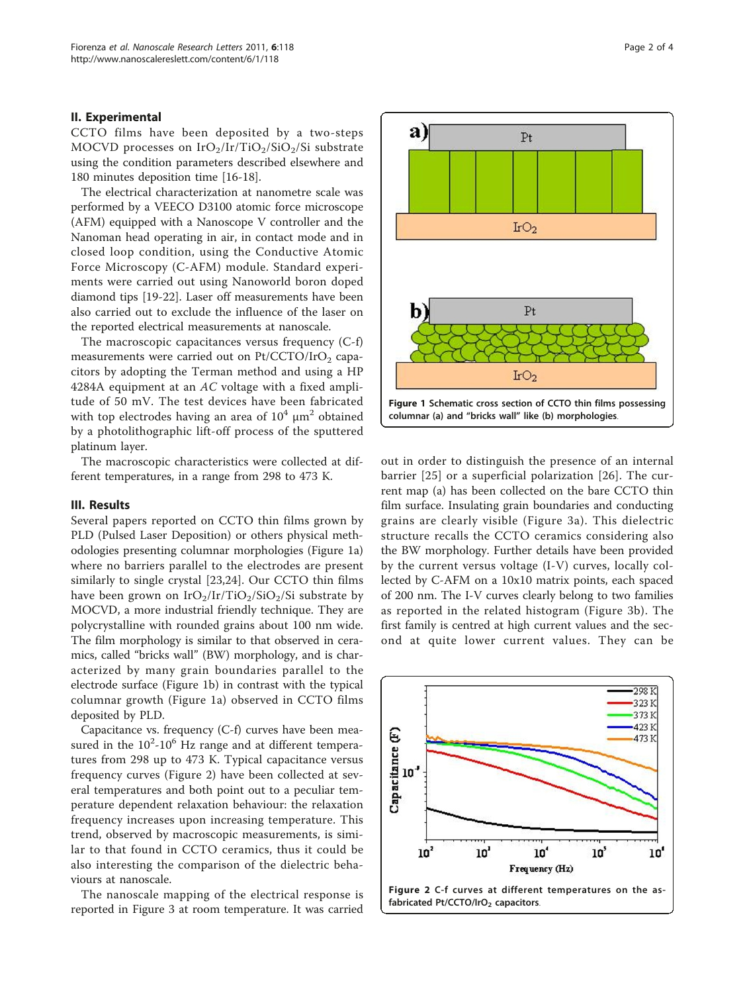#### <span id="page-1-0"></span>II. Experimental

CCTO films have been deposited by a two-steps MOCVD processes on IrO<sub>2</sub>/Ir/TiO<sub>2</sub>/SiO<sub>2</sub>/Si substrate using the condition parameters described elsewhere and 180 minutes deposition time [[16](#page-3-0)-[18\]](#page-3-0).

The electrical characterization at nanometre scale was performed by a VEECO D3100 atomic force microscope (AFM) equipped with a Nanoscope V controller and the Nanoman head operating in air, in contact mode and in closed loop condition, using the Conductive Atomic Force Microscopy (C-AFM) module. Standard experiments were carried out using Nanoworld boron doped diamond tips [[19-22](#page-3-0)]. Laser off measurements have been also carried out to exclude the influence of the laser on the reported electrical measurements at nanoscale.

The macroscopic capacitances versus frequency (C-f) measurements were carried out on  $Pt/CCTO/IrO<sub>2</sub>$  capacitors by adopting the Terman method and using a HP 4284A equipment at an AC voltage with a fixed amplitude of 50 mV. The test devices have been fabricated with top electrodes having an area of  $10^4 \mu m^2$  obtained by a photolithographic lift-off process of the sputtered platinum layer.

The macroscopic characteristics were collected at different temperatures, in a range from 298 to 473 K.

#### III. Results

Several papers reported on CCTO thin films grown by PLD (Pulsed Laser Deposition) or others physical methodologies presenting columnar morphologies (Figure 1a) where no barriers parallel to the electrodes are present similarly to single crystal [[23,24](#page-3-0)]. Our CCTO thin films have been grown on  $IrO<sub>2</sub>/Ir/TiO<sub>2</sub>/SiO<sub>2</sub>/Si$  substrate by MOCVD, a more industrial friendly technique. They are polycrystalline with rounded grains about 100 nm wide. The film morphology is similar to that observed in ceramics, called "bricks wall" (BW) morphology, and is characterized by many grain boundaries parallel to the electrode surface (Figure 1b) in contrast with the typical columnar growth (Figure 1a) observed in CCTO films deposited by PLD.

Capacitance vs. frequency (C-f) curves have been measured in the  $10^2$ - $10^6$  Hz range and at different temperatures from 298 up to 473 K. Typical capacitance versus frequency curves (Figure 2) have been collected at several temperatures and both point out to a peculiar temperature dependent relaxation behaviour: the relaxation frequency increases upon increasing temperature. This trend, observed by macroscopic measurements, is similar to that found in CCTO ceramics, thus it could be also interesting the comparison of the dielectric behaviours at nanoscale.

The nanoscale mapping of the electrical response is reported in Figure [3](#page-2-0) at room temperature. It was carried



 $P<sub>t</sub>$ 

a)

rent map (a) has been collected on the bare CCTO thin film surface. Insulating grain boundaries and conducting grains are clearly visible (Figure [3a\)](#page-2-0). This dielectric structure recalls the CCTO ceramics considering also the BW morphology. Further details have been provided by the current versus voltage (I-V) curves, locally collected by C-AFM on a 10x10 matrix points, each spaced of 200 nm. The I-V curves clearly belong to two families as reported in the related histogram (Figure [3b](#page-2-0)). The first family is centred at high current values and the second at quite lower current values. They can be

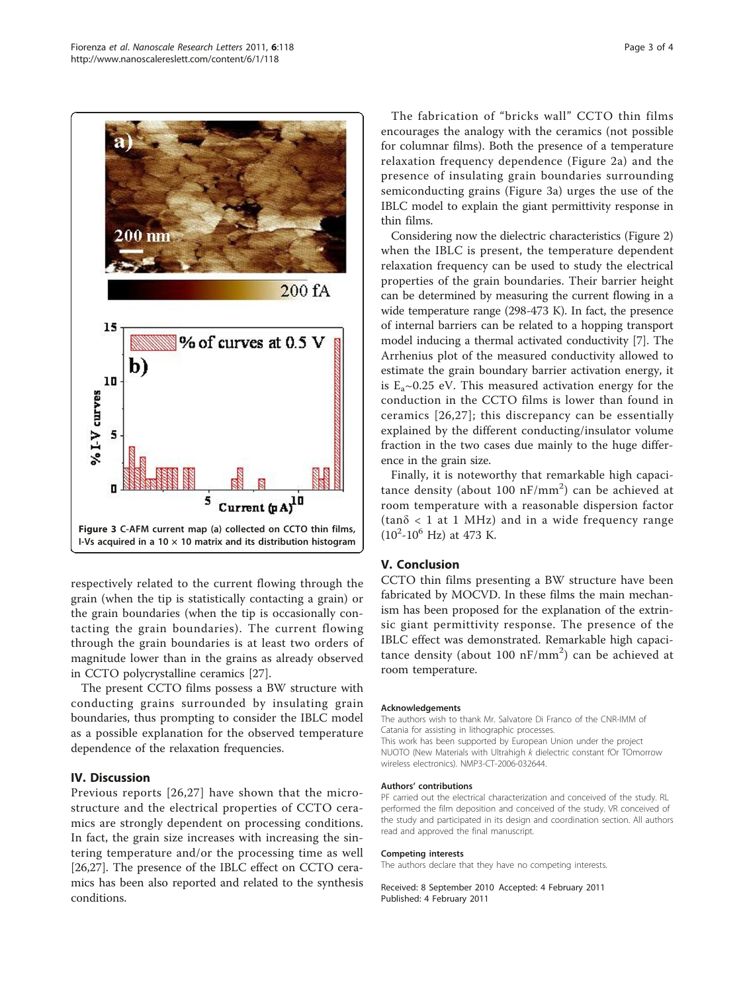<span id="page-2-0"></span>

respectively related to the current flowing through the grain (when the tip is statistically contacting a grain) or the grain boundaries (when the tip is occasionally contacting the grain boundaries). The current flowing through the grain boundaries is at least two orders of magnitude lower than in the grains as already observed in CCTO polycrystalline ceramics [[27\]](#page-3-0).

The present CCTO films possess a BW structure with conducting grains surrounded by insulating grain boundaries, thus prompting to consider the IBLC model as a possible explanation for the observed temperature dependence of the relaxation frequencies.

## IV. Discussion

Previous reports [[26](#page-3-0),[27](#page-3-0)] have shown that the microstructure and the electrical properties of CCTO ceramics are strongly dependent on processing conditions. In fact, the grain size increases with increasing the sintering temperature and/or the processing time as well [[26,27\]](#page-3-0). The presence of the IBLC effect on CCTO ceramics has been also reported and related to the synthesis conditions.

The fabrication of "bricks wall" CCTO thin films encourages the analogy with the ceramics (not possible for columnar films). Both the presence of a temperature relaxation frequency dependence (Figure [2a](#page-1-0)) and the presence of insulating grain boundaries surrounding semiconducting grains (Figure 3a) urges the use of the IBLC model to explain the giant permittivity response in thin films.

Considering now the dielectric characteristics (Figure [2](#page-1-0)) when the IBLC is present, the temperature dependent relaxation frequency can be used to study the electrical properties of the grain boundaries. Their barrier height can be determined by measuring the current flowing in a wide temperature range (298-473 K). In fact, the presence of internal barriers can be related to a hopping transport model inducing a thermal activated conductivity [\[7\]](#page-3-0). The Arrhenius plot of the measured conductivity allowed to estimate the grain boundary barrier activation energy, it is  $E_a \sim 0.25$  eV. This measured activation energy for the conduction in the CCTO films is lower than found in ceramics [[26](#page-3-0),[27](#page-3-0)]; this discrepancy can be essentially explained by the different conducting/insulator volume fraction in the two cases due mainly to the huge difference in the grain size.

Finally, it is noteworthy that remarkable high capacitance density (about 100 nF/mm<sup>2</sup>) can be achieved at room temperature with a reasonable dispersion factor  $(tan\delta < 1$  at 1 MHz) and in a wide frequency range  $(10^2 - 10^6 \text{ Hz})$  at 473 K.

### V. Conclusion

CCTO thin films presenting a BW structure have been fabricated by MOCVD. In these films the main mechanism has been proposed for the explanation of the extrinsic giant permittivity response. The presence of the IBLC effect was demonstrated. Remarkable high capacitance density (about 100  $nF/mm^2$ ) can be achieved at room temperature.

#### Acknowledgements

The authors wish to thank Mr. Salvatore Di Franco of the CNR-IMM of Catania for assisting in lithographic processes. This work has been supported by European Union under the project NUOTO (New Materials with Ultrahigh k dielectric constant fOr TOmorrow

wireless electronics). NMP3-CT-2006-032644.

#### Authors' contributions

PF carried out the electrical characterization and conceived of the study. RL performed the film deposition and conceived of the study. VR conceived of the study and participated in its design and coordination section. All authors read and approved the final manuscript.

#### Competing interests

The authors declare that they have no competing interests.

Received: 8 September 2010 Accepted: 4 February 2011 Published: 4 February 2011